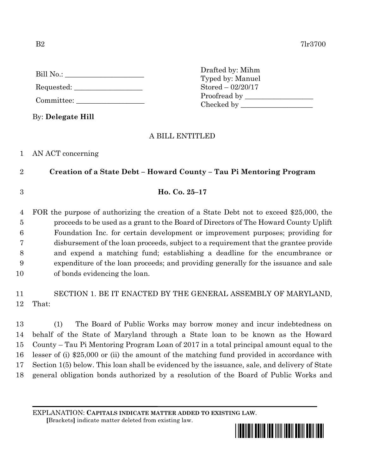| Bill No.:  |  |
|------------|--|
| Requested: |  |

Committee:

By: **Delegate Hill**

Drafted by: Mihm Typed by: Manuel Stored – 02/20/17 Proofread by Checked by \_\_\_\_\_\_\_\_\_\_\_\_\_\_\_\_\_\_\_\_

## A BILL ENTITLED

### 1 AN ACT concerning

## 2 **Creation of a State Debt – Howard County – Tau Pi Mentoring Program**

3 **Ho. Co. 25–17**

 FOR the purpose of authorizing the creation of a State Debt not to exceed \$25,000, the proceeds to be used as a grant to the Board of Directors of The Howard County Uplift Foundation Inc. for certain development or improvement purposes; providing for disbursement of the loan proceeds, subject to a requirement that the grantee provide and expend a matching fund; establishing a deadline for the encumbrance or expenditure of the loan proceeds; and providing generally for the issuance and sale of bonds evidencing the loan.

# 11 SECTION 1. BE IT ENACTED BY THE GENERAL ASSEMBLY OF MARYLAND, 12 That:

 (1) The Board of Public Works may borrow money and incur indebtedness on behalf of the State of Maryland through a State loan to be known as the Howard County – Tau Pi Mentoring Program Loan of 2017 in a total principal amount equal to the lesser of (i) \$25,000 or (ii) the amount of the matching fund provided in accordance with Section 1(5) below. This loan shall be evidenced by the issuance, sale, and delivery of State general obligation bonds authorized by a resolution of the Board of Public Works and

EXPLANATION: **CAPITALS INDICATE MATTER ADDED TO EXISTING LAW**.

 **[**Brackets**]** indicate matter deleted from existing law.

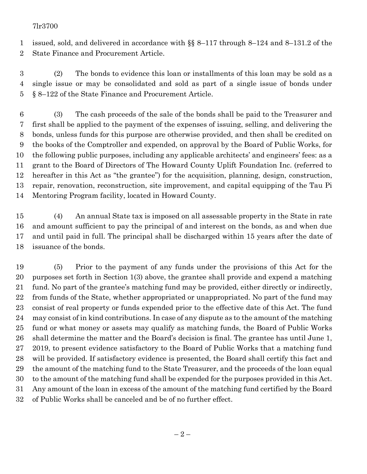### 7lr3700

 issued, sold, and delivered in accordance with §§ 8–117 through 8–124 and 8–131.2 of the State Finance and Procurement Article.

 (2) The bonds to evidence this loan or installments of this loan may be sold as a single issue or may be consolidated and sold as part of a single issue of bonds under § 8–122 of the State Finance and Procurement Article.

 (3) The cash proceeds of the sale of the bonds shall be paid to the Treasurer and first shall be applied to the payment of the expenses of issuing, selling, and delivering the bonds, unless funds for this purpose are otherwise provided, and then shall be credited on the books of the Comptroller and expended, on approval by the Board of Public Works, for the following public purposes, including any applicable architects' and engineers' fees: as a grant to the Board of Directors of The Howard County Uplift Foundation Inc. (referred to hereafter in this Act as "the grantee") for the acquisition, planning, design, construction, repair, renovation, reconstruction, site improvement, and capital equipping of the Tau Pi Mentoring Program facility, located in Howard County.

 (4) An annual State tax is imposed on all assessable property in the State in rate and amount sufficient to pay the principal of and interest on the bonds, as and when due and until paid in full. The principal shall be discharged within 15 years after the date of issuance of the bonds.

 (5) Prior to the payment of any funds under the provisions of this Act for the purposes set forth in Section 1(3) above, the grantee shall provide and expend a matching fund. No part of the grantee's matching fund may be provided, either directly or indirectly, from funds of the State, whether appropriated or unappropriated. No part of the fund may consist of real property or funds expended prior to the effective date of this Act. The fund may consist of in kind contributions. In case of any dispute as to the amount of the matching fund or what money or assets may qualify as matching funds, the Board of Public Works shall determine the matter and the Board's decision is final. The grantee has until June 1, 2019, to present evidence satisfactory to the Board of Public Works that a matching fund will be provided. If satisfactory evidence is presented, the Board shall certify this fact and the amount of the matching fund to the State Treasurer, and the proceeds of the loan equal to the amount of the matching fund shall be expended for the purposes provided in this Act. Any amount of the loan in excess of the amount of the matching fund certified by the Board of Public Works shall be canceled and be of no further effect.